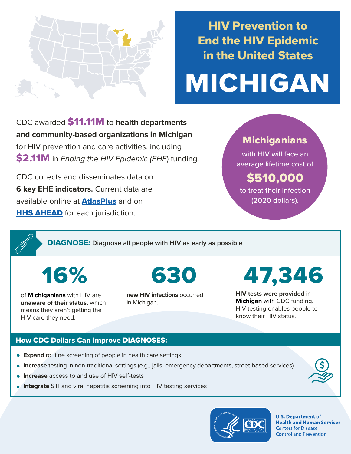

## HIV Prevention to End the HIV Epidemic in the United States

# MICHIGAN

CDC awarded \$11.11M to **health departments and community-based organizations in Michigan**  for HIV prevention and care activities, including \$2.11M in *Ending the HIV Epidemic (EHE*) funding.

CDC collects and disseminates data on **6 key EHE indicators.** Current data are available online at **[AtlasPlus](https://www.cdc.gov/nchhstp/atlas/index.htm)** and on **[HHS AHEAD](https://ahead.hiv.gov/)** for each jurisdiction.

### **Michiganians**

with HIV will face an average lifetime cost of

## \$510,000

to treat their infection (2020 dollars).

DIAGNOSE: **Diagnose all people with HIV as early as possible** 

16%

of **Michiganians** with HIV are **unaware of their status,** which means they aren't getting the HIV care they need.

**new HIV infections** occurred in Michigan.

## 630 47,346

**HIV tests were provided** in **Michigan** with CDC funding. HIV testing enables people to know their HIV status.

#### How CDC Dollars Can Improve DIAGNOSES:

- **Expand** routine screening of people in health care settings
- **Increase** testing in non-traditional settings (e.g., jails, emergency departments, street-based services)
- **Increase** access to and use of HIV self-tests
- **Integrate** STI and viral hepatitis screening into HIV testing services



**U.S. Department of Health and Human Services Centers for Disease Control and Prevention**